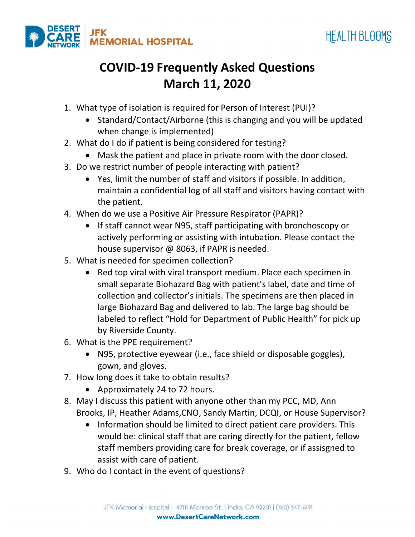



## **COVID-19 Frequently Asked Questions March 11, 2020**

- 1. What type of isolation is required for Person of Interest (PUI)?
	- Standard/Contact/Airborne (this is changing and you will be updated when change is implemented)
- 2. What do I do if patient is being considered for testing?
	- Mask the patient and place in private room with the door closed.
- 3. Do we restrict number of people interacting with patient?
	- Yes, limit the number of staff and visitors if possible. In addition, maintain a confidential log of all staff and visitors having contact with the patient.
- 4. When do we use a Positive Air Pressure Respirator (PAPR)?
	- If staff cannot wear N95, staff participating with bronchoscopy or actively performing or assisting with intubation. Please contact the house supervisor @ 8063, if PAPR is needed.
- 5. What is needed for specimen collection?
	- Red top viral with viral transport medium. Place each specimen in small separate Biohazard Bag with patient's label, date and time of collection and collector's initials. The specimens are then placed in large Biohazard Bag and delivered to lab. The large bag should be labeled to reflect "Hold for Department of Public Health" for pick up by Riverside County.
- 6. What is the PPE requirement?
	- N95, protective eyewear (i.e., face shield or disposable goggles), gown, and gloves.
- 7. How long does it take to obtain results?
	- Approximately 24 to 72 hours.
- 8. May I discuss this patient with anyone other than my PCC, MD, Ann Brooks, IP, Heather Adams,CNO, Sandy Martin, DCQI, or House Supervisor?
	- Information should be limited to direct patient care providers. This would be: clinical staff that are caring directly for the patient, fellow staff members providing care for break coverage, or if assisgned to assist with care of patient.
- 9. Who do I contact in the event of questions?